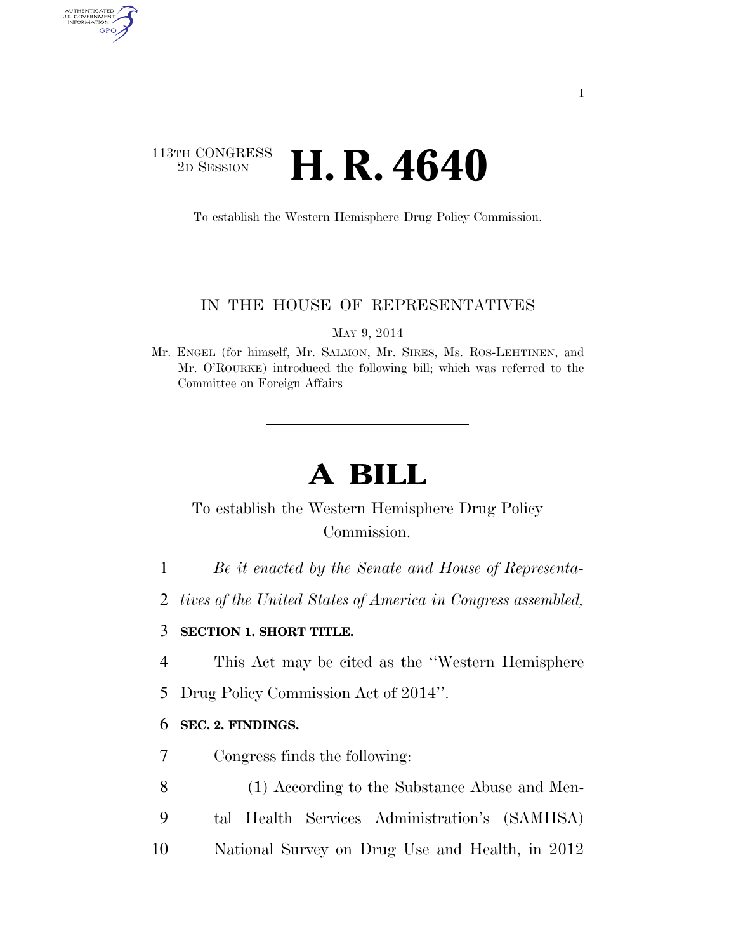## 113TH CONGRESS <sup>2D SESSION</sup> **H. R. 4640**

AUTHENTICATED<br>U.S. GOVERNMENT<br>INFORMATION GPO

To establish the Western Hemisphere Drug Policy Commission.

#### IN THE HOUSE OF REPRESENTATIVES

MAY 9, 2014

Mr. ENGEL (for himself, Mr. SALMON, Mr. SIRES, Ms. ROS-LEHTINEN, and Mr. O'ROURKE) introduced the following bill; which was referred to the Committee on Foreign Affairs

# **A BILL**

# To establish the Western Hemisphere Drug Policy Commission.

- 1 *Be it enacted by the Senate and House of Representa-*
- 2 *tives of the United States of America in Congress assembled,*

#### 3 **SECTION 1. SHORT TITLE.**

- 4 This Act may be cited as the ''Western Hemisphere
- 5 Drug Policy Commission Act of 2014''.

#### 6 **SEC. 2. FINDINGS.**

- 7 Congress finds the following:
- 8 (1) According to the Substance Abuse and Men-
- 9 tal Health Services Administration's (SAMHSA)
- 10 National Survey on Drug Use and Health, in 2012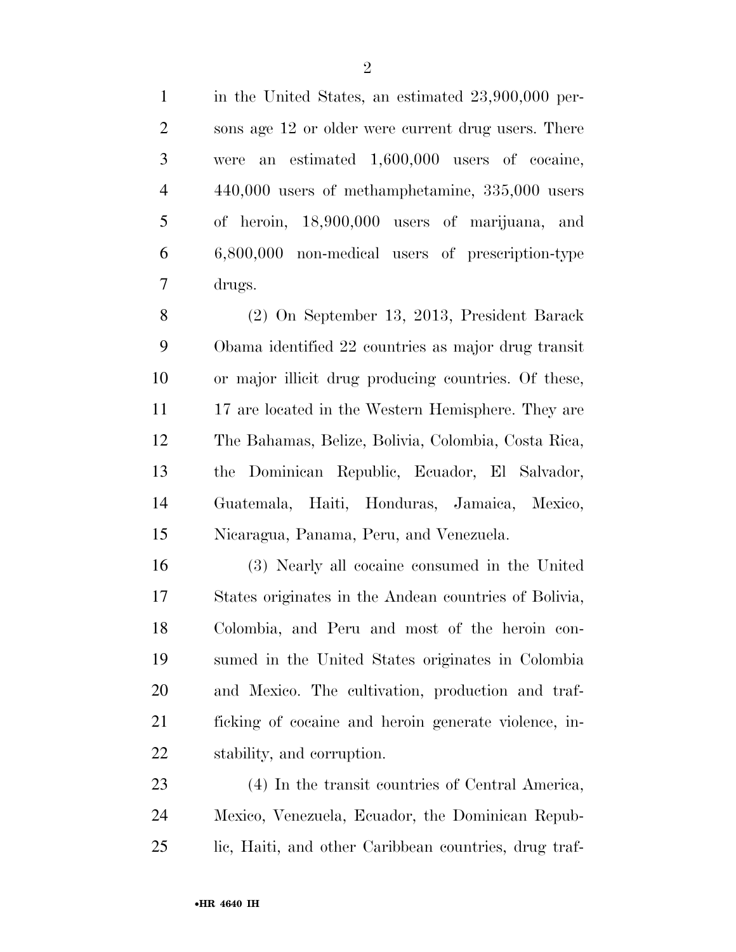in the United States, an estimated 23,900,000 per- sons age 12 or older were current drug users. There were an estimated 1,600,000 users of cocaine, 440,000 users of methamphetamine, 335,000 users of heroin, 18,900,000 users of marijuana, and 6,800,000 non-medical users of prescription-type drugs.

 (2) On September 13, 2013, President Barack Obama identified 22 countries as major drug transit or major illicit drug producing countries. Of these, 11 17 are located in the Western Hemisphere. They are The Bahamas, Belize, Bolivia, Colombia, Costa Rica, the Dominican Republic, Ecuador, El Salvador, Guatemala, Haiti, Honduras, Jamaica, Mexico, Nicaragua, Panama, Peru, and Venezuela.

 (3) Nearly all cocaine consumed in the United States originates in the Andean countries of Bolivia, Colombia, and Peru and most of the heroin con- sumed in the United States originates in Colombia and Mexico. The cultivation, production and traf- ficking of cocaine and heroin generate violence, in-stability, and corruption.

 (4) In the transit countries of Central America, Mexico, Venezuela, Ecuador, the Dominican Repub-lic, Haiti, and other Caribbean countries, drug traf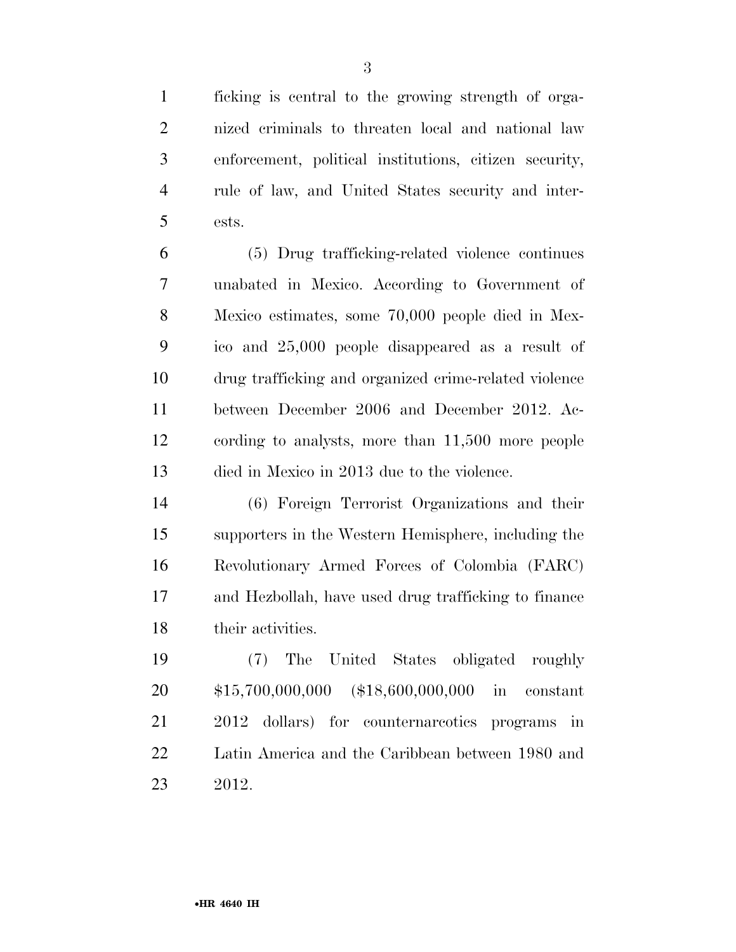ficking is central to the growing strength of orga- nized criminals to threaten local and national law enforcement, political institutions, citizen security, rule of law, and United States security and inter-ests.

 (5) Drug trafficking-related violence continues unabated in Mexico. According to Government of Mexico estimates, some 70,000 people died in Mex- ico and 25,000 people disappeared as a result of drug trafficking and organized crime-related violence between December 2006 and December 2012. Ac- cording to analysts, more than 11,500 more people died in Mexico in 2013 due to the violence.

 (6) Foreign Terrorist Organizations and their supporters in the Western Hemisphere, including the Revolutionary Armed Forces of Colombia (FARC) and Hezbollah, have used drug trafficking to finance their activities.

 (7) The United States obligated roughly \$15,700,000,000 (\$18,600,000,000 in constant 2012 dollars) for counternarcotics programs in Latin America and the Caribbean between 1980 and 2012.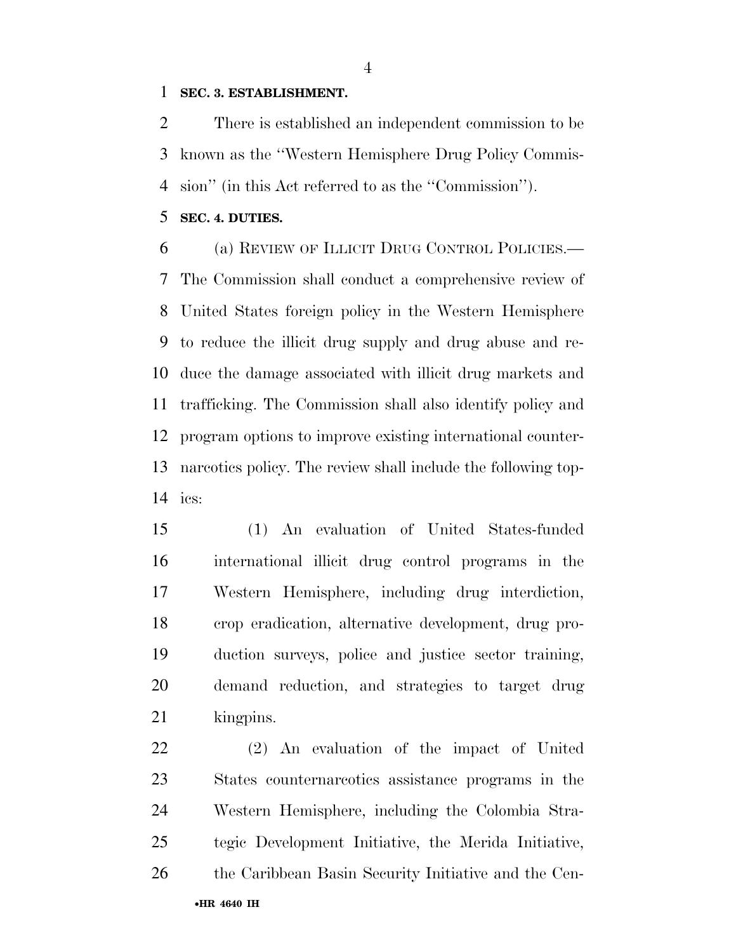#### **SEC. 3. ESTABLISHMENT.**

 There is established an independent commission to be known as the ''Western Hemisphere Drug Policy Commis-sion'' (in this Act referred to as the ''Commission'').

**SEC. 4. DUTIES.** 

 (a) REVIEW OF ILLICIT DRUG CONTROL POLICIES.— The Commission shall conduct a comprehensive review of United States foreign policy in the Western Hemisphere to reduce the illicit drug supply and drug abuse and re- duce the damage associated with illicit drug markets and trafficking. The Commission shall also identify policy and program options to improve existing international counter- narcotics policy. The review shall include the following top-ics:

 (1) An evaluation of United States-funded international illicit drug control programs in the Western Hemisphere, including drug interdiction, crop eradication, alternative development, drug pro- duction surveys, police and justice sector training, demand reduction, and strategies to target drug 21 kingpins.

•**HR 4640 IH** (2) An evaluation of the impact of United States counternarcotics assistance programs in the Western Hemisphere, including the Colombia Stra- tegic Development Initiative, the Merida Initiative, 26 the Caribbean Basin Security Initiative and the Cen-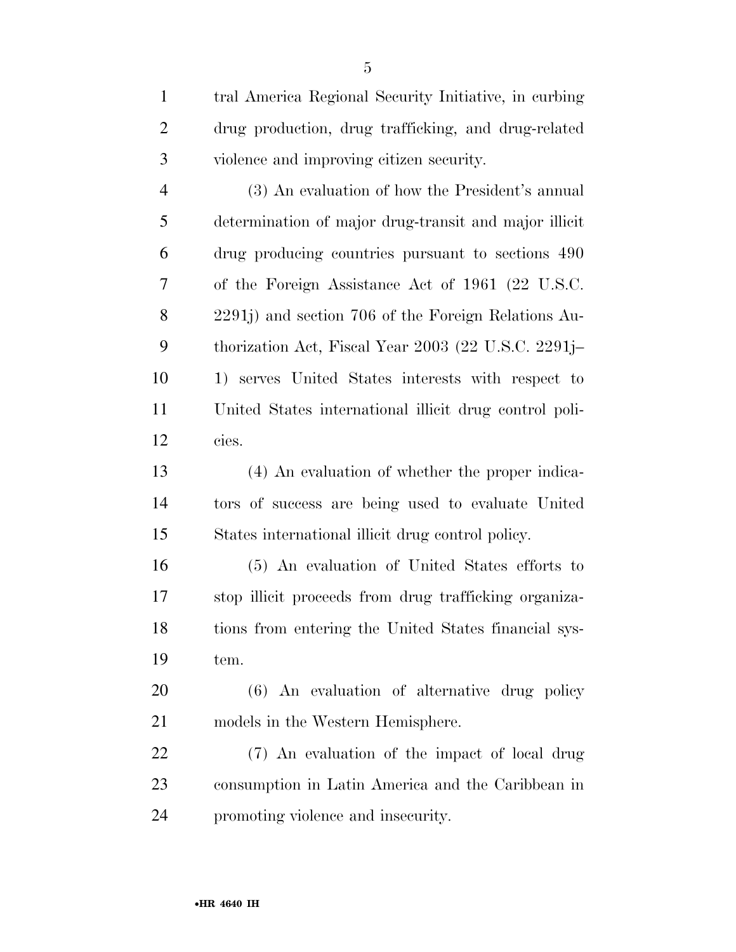| $\mathbf{1}$   | tral America Regional Security Initiative, in curbing  |
|----------------|--------------------------------------------------------|
| $\overline{2}$ | drug production, drug trafficking, and drug-related    |
| 3              | violence and improving citizen security.               |
| $\overline{4}$ | (3) An evaluation of how the President's annual        |
| 5              | determination of major drug-transit and major illicit  |
| 6              | drug producing countries pursuant to sections 490      |
| 7              | of the Foreign Assistance Act of 1961 (22 U.S.C.       |
| 8              | 2291j) and section 706 of the Foreign Relations Au-    |
| 9              | thorization Act, Fiscal Year 2003 (22 U.S.C. 2291j–    |
| 10             | 1) serves United States interests with respect to      |
| 11             | United States international illicit drug control poli- |
| 12             | cies.                                                  |
| 13             | (4) An evaluation of whether the proper indica-        |
| 14             | tors of success are being used to evaluate United      |
| 15             | States international illicit drug control policy.      |
| 16             | (5) An evaluation of United States efforts to          |
| 17             | stop illicit proceeds from drug trafficking organiza-  |
| 18             | tions from entering the United States financial sys-   |
| 19             | tem.                                                   |
| 20             | (6) An evaluation of alternative drug policy           |
| 21             | models in the Western Hemisphere.                      |
| 22             | (7) An evaluation of the impact of local drug          |
| 23             | consumption in Latin America and the Caribbean in      |
| 24             | promoting violence and insecurity.                     |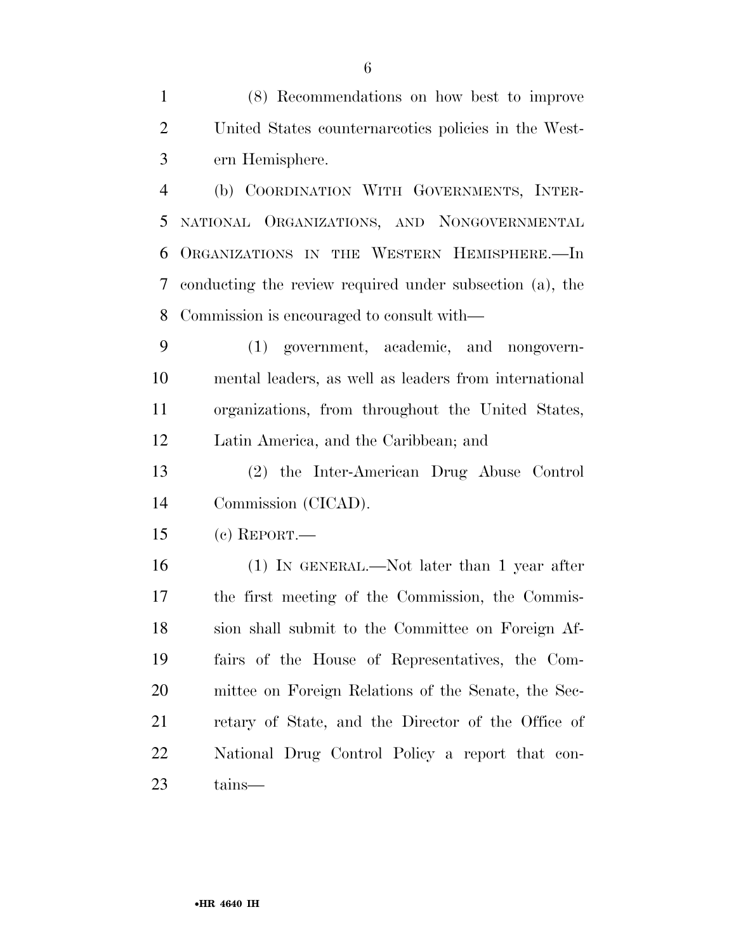(8) Recommendations on how best to improve United States counternarcotics policies in the West-ern Hemisphere.

 (b) COORDINATION WITH GOVERNMENTS, INTER- NATIONAL ORGANIZATIONS, AND NONGOVERNMENTAL ORGANIZATIONS IN THE WESTERN HEMISPHERE.—In conducting the review required under subsection (a), the Commission is encouraged to consult with—

 (1) government, academic, and nongovern- mental leaders, as well as leaders from international organizations, from throughout the United States, Latin America, and the Caribbean; and

 (2) the Inter-American Drug Abuse Control Commission (CICAD).

(c) REPORT.—

 (1) IN GENERAL.—Not later than 1 year after the first meeting of the Commission, the Commis- sion shall submit to the Committee on Foreign Af- fairs of the House of Representatives, the Com- mittee on Foreign Relations of the Senate, the Sec- retary of State, and the Director of the Office of National Drug Control Policy a report that con-tains—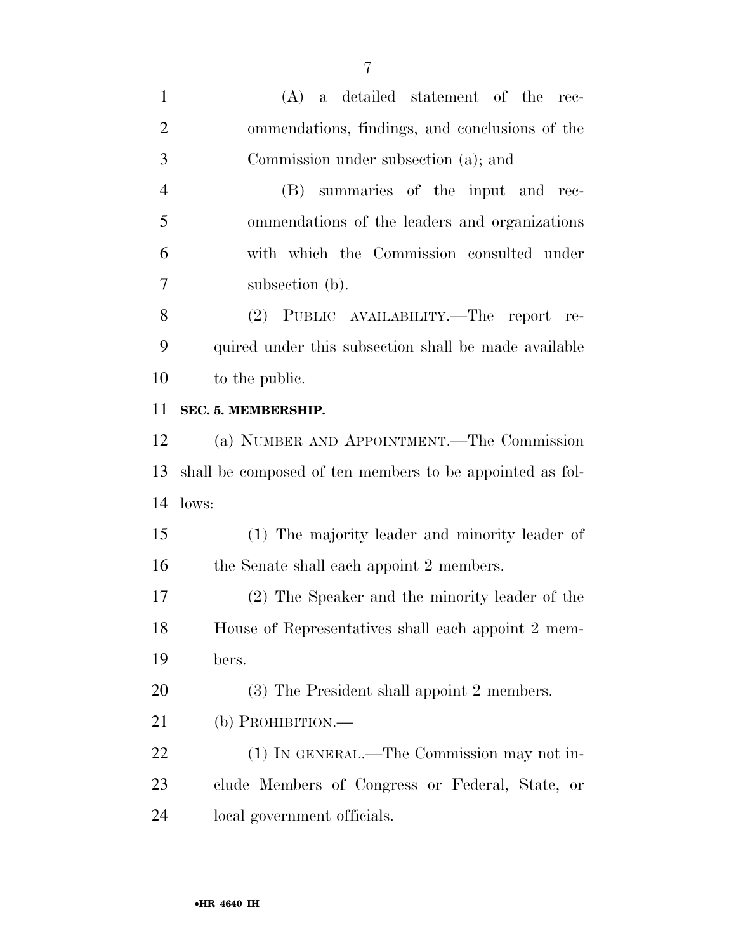| $\mathbf{1}$   | $(A)$ a detailed statement of the rec-                   |
|----------------|----------------------------------------------------------|
| $\overline{2}$ | ommendations, findings, and conclusions of the           |
| 3              | Commission under subsection (a); and                     |
| $\overline{4}$ | (B) summaries of the input and rec-                      |
| 5              | ommendations of the leaders and organizations            |
| 6              | with which the Commission consulted under                |
| $\overline{7}$ | subsection (b).                                          |
| 8              | (2) PUBLIC AVAILABILITY.—The report re-                  |
| 9              | quired under this subsection shall be made available     |
| 10             | to the public.                                           |
| 11             | SEC. 5. MEMBERSHIP.                                      |
| 12             | (a) NUMBER AND APPOINTMENT.—The Commission               |
| 13             | shall be composed of ten members to be appointed as fol- |
| 14             | lows:                                                    |
| 15             | (1) The majority leader and minority leader of           |
| 16             | the Senate shall each appoint 2 members.                 |
| 17             | (2) The Speaker and the minority leader of the           |
| 18             | House of Representatives shall each appoint 2 mem-       |
| 19             | bers.                                                    |
| 20             | (3) The President shall appoint 2 members.               |
| 21             | $(b)$ PROHIBITION.—                                      |
| 22             | (1) IN GENERAL.—The Commission may not in-               |
| 23             | clude Members of Congress or Federal, State, or          |
| 24             | local government officials.                              |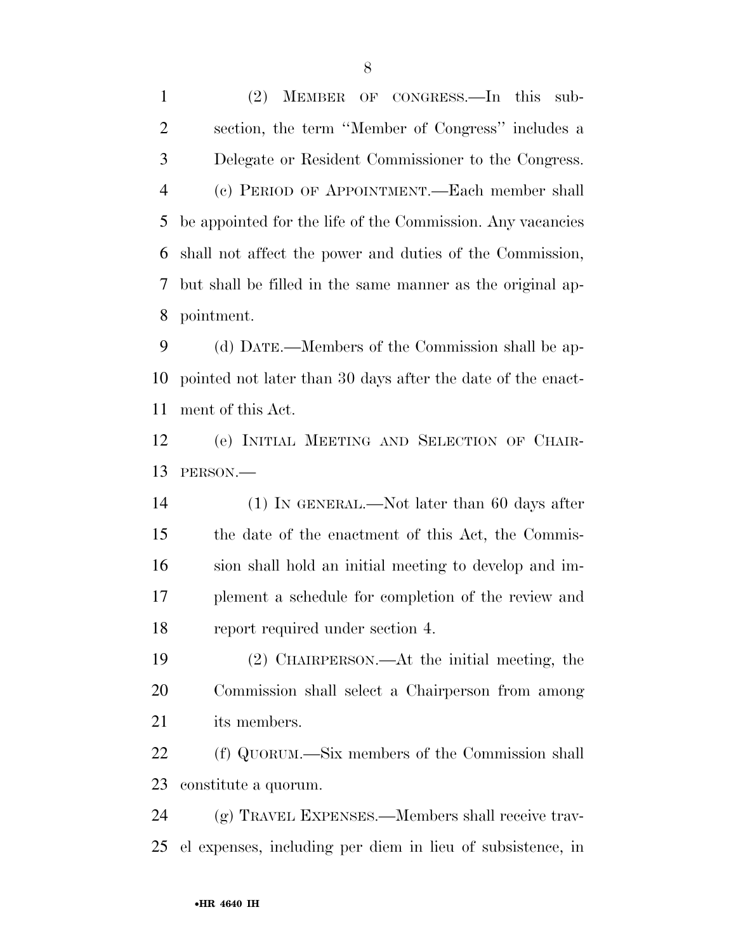(2) MEMBER OF CONGRESS.—In this sub- section, the term ''Member of Congress'' includes a Delegate or Resident Commissioner to the Congress. (c) PERIOD OF APPOINTMENT.—Each member shall be appointed for the life of the Commission. Any vacancies shall not affect the power and duties of the Commission, but shall be filled in the same manner as the original ap-pointment.

 (d) DATE.—Members of the Commission shall be ap- pointed not later than 30 days after the date of the enact-ment of this Act.

 (e) INITIAL MEETING AND SELECTION OF CHAIR-PERSON.—

 (1) IN GENERAL.—Not later than 60 days after the date of the enactment of this Act, the Commis- sion shall hold an initial meeting to develop and im- plement a schedule for completion of the review and report required under section 4.

 (2) CHAIRPERSON.—At the initial meeting, the Commission shall select a Chairperson from among its members.

 (f) QUORUM.—Six members of the Commission shall constitute a quorum.

 (g) TRAVEL EXPENSES.—Members shall receive trav-el expenses, including per diem in lieu of subsistence, in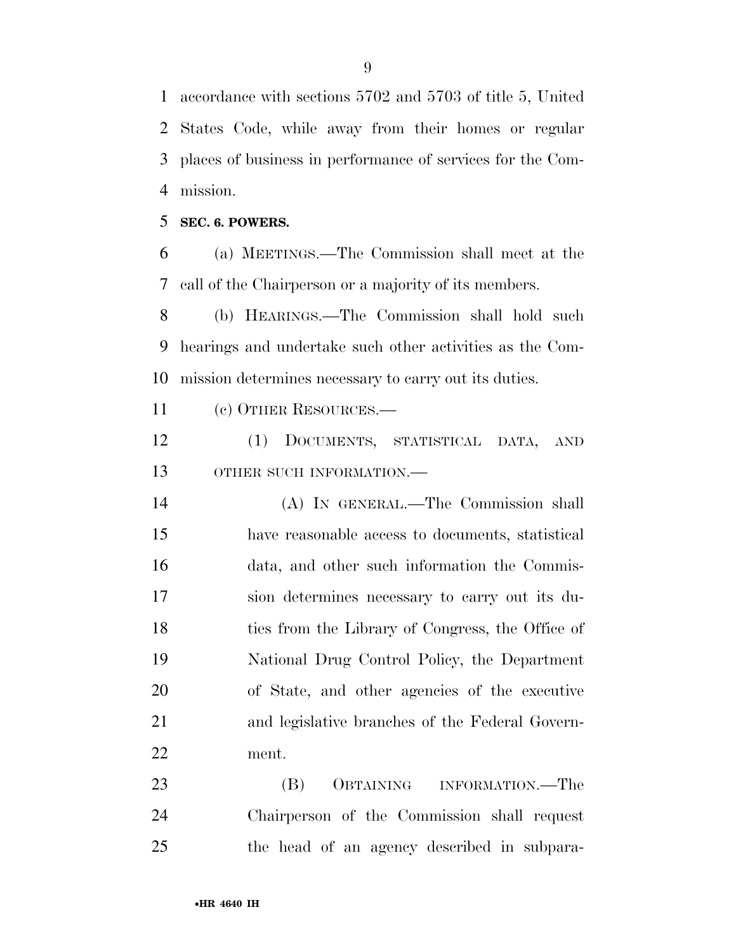accordance with sections 5702 and 5703 of title 5, United States Code, while away from their homes or regular places of business in performance of services for the Com-mission.

**SEC. 6. POWERS.** 

 (a) MEETINGS.—The Commission shall meet at the call of the Chairperson or a majority of its members.

 (b) HEARINGS.—The Commission shall hold such hearings and undertake such other activities as the Com-mission determines necessary to carry out its duties.

(c) OTHER RESOURCES.—

 (1) DOCUMENTS, STATISTICAL DATA, AND OTHER SUCH INFORMATION.—

 (A) IN GENERAL.—The Commission shall have reasonable access to documents, statistical data, and other such information the Commis- sion determines necessary to carry out its du- ties from the Library of Congress, the Office of National Drug Control Policy, the Department of State, and other agencies of the executive and legislative branches of the Federal Govern-ment.

 (B) OBTAINING INFORMATION.—The Chairperson of the Commission shall request the head of an agency described in subpara-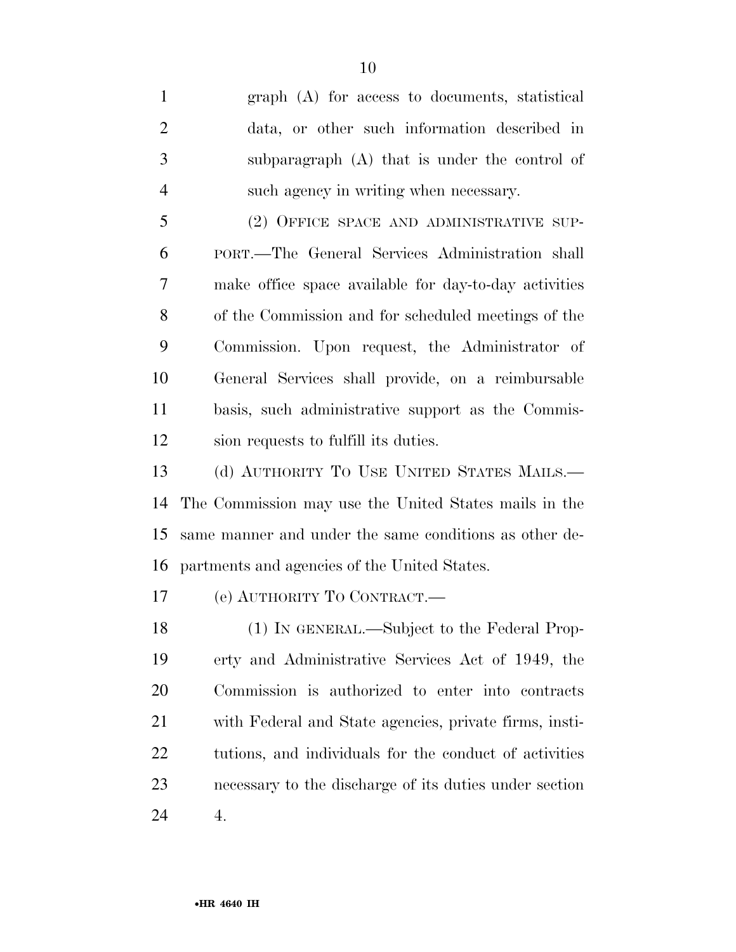graph (A) for access to documents, statistical data, or other such information described in subparagraph (A) that is under the control of such agency in writing when necessary. 5 (2) OFFICE SPACE AND ADMINISTRATIVE SUP- PORT.—The General Services Administration shall make office space available for day-to-day activities of the Commission and for scheduled meetings of the Commission. Upon request, the Administrator of General Services shall provide, on a reimbursable basis, such administrative support as the Commis- sion requests to fulfill its duties. 13 (d) AUTHORITY TO USE UNITED STATES MAILS.—

 The Commission may use the United States mails in the same manner and under the same conditions as other de-partments and agencies of the United States.

(e) AUTHORITY TO CONTRACT.—

 (1) IN GENERAL.—Subject to the Federal Prop- erty and Administrative Services Act of 1949, the Commission is authorized to enter into contracts with Federal and State agencies, private firms, insti- tutions, and individuals for the conduct of activities necessary to the discharge of its duties under section 4.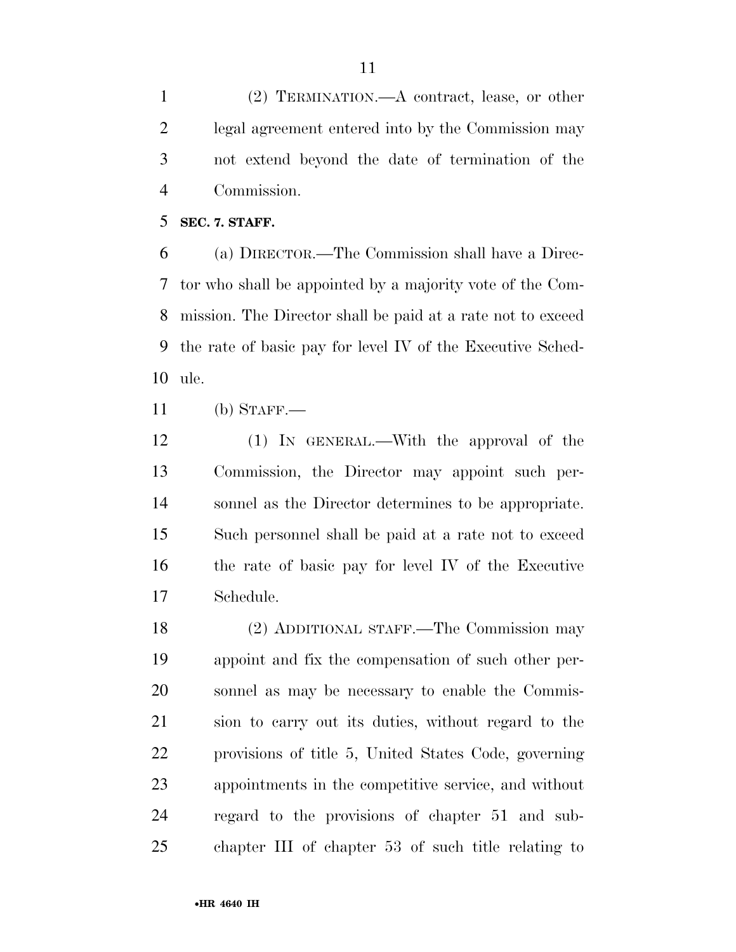(2) TERMINATION.—A contract, lease, or other legal agreement entered into by the Commission may not extend beyond the date of termination of the Commission.

**SEC. 7. STAFF.** 

 (a) DIRECTOR.—The Commission shall have a Direc- tor who shall be appointed by a majority vote of the Com- mission. The Director shall be paid at a rate not to exceed the rate of basic pay for level IV of the Executive Sched-ule.

(b) STAFF.—

 (1) IN GENERAL.—With the approval of the Commission, the Director may appoint such per- sonnel as the Director determines to be appropriate. Such personnel shall be paid at a rate not to exceed the rate of basic pay for level IV of the Executive Schedule.

 (2) ADDITIONAL STAFF.—The Commission may appoint and fix the compensation of such other per- sonnel as may be necessary to enable the Commis- sion to carry out its duties, without regard to the provisions of title 5, United States Code, governing appointments in the competitive service, and without regard to the provisions of chapter 51 and sub-chapter III of chapter 53 of such title relating to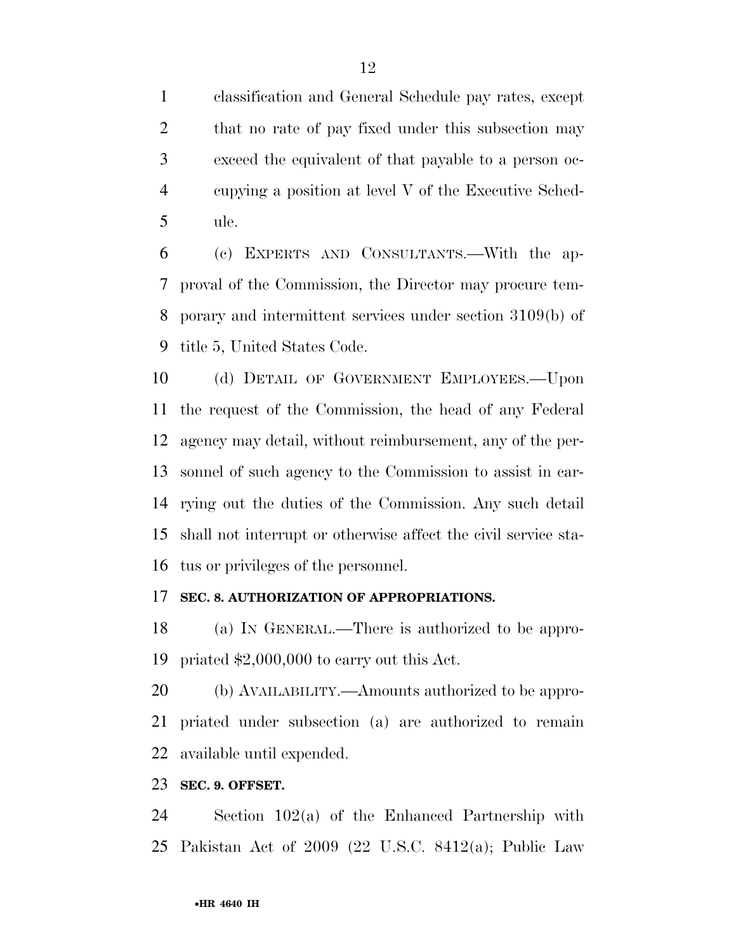classification and General Schedule pay rates, except 2 that no rate of pay fixed under this subsection may exceed the equivalent of that payable to a person oc- cupying a position at level V of the Executive Sched-ule.

 (c) EXPERTS AND CONSULTANTS.—With the ap- proval of the Commission, the Director may procure tem- porary and intermittent services under section 3109(b) of title 5, United States Code.

10 (d) DETAIL OF GOVERNMENT EMPLOYEES. Upon the request of the Commission, the head of any Federal agency may detail, without reimbursement, any of the per- sonnel of such agency to the Commission to assist in car- rying out the duties of the Commission. Any such detail shall not interrupt or otherwise affect the civil service sta-tus or privileges of the personnel.

### **SEC. 8. AUTHORIZATION OF APPROPRIATIONS.**

 (a) IN GENERAL.—There is authorized to be appro-priated \$2,000,000 to carry out this Act.

 (b) AVAILABILITY.—Amounts authorized to be appro- priated under subsection (a) are authorized to remain available until expended.

#### **SEC. 9. OFFSET.**

 Section 102(a) of the Enhanced Partnership with Pakistan Act of 2009 (22 U.S.C. 8412(a); Public Law